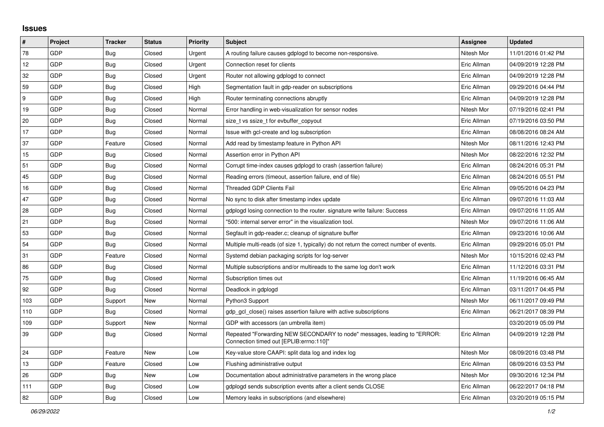## **Issues**

| $\pmb{\sharp}$ | Project    | <b>Tracker</b> | <b>Status</b> | <b>Priority</b> | <b>Subject</b>                                                                                                      | <b>Assignee</b> | <b>Updated</b>      |
|----------------|------------|----------------|---------------|-----------------|---------------------------------------------------------------------------------------------------------------------|-----------------|---------------------|
| 78             | GDP        | Bug            | Closed        | Urgent          | A routing failure causes gdplogd to become non-responsive.                                                          | Nitesh Mor      | 11/01/2016 01:42 PM |
| 12             | GDP        | Bug            | Closed        | Urgent          | Connection reset for clients                                                                                        | Eric Allman     | 04/09/2019 12:28 PM |
| 32             | GDP        | <b>Bug</b>     | Closed        | Urgent          | Router not allowing gdplogd to connect                                                                              | Eric Allman     | 04/09/2019 12:28 PM |
| 59             | GDP        | <b>Bug</b>     | Closed        | High            | Segmentation fault in gdp-reader on subscriptions                                                                   | Eric Allman     | 09/29/2016 04:44 PM |
| 9              | GDP        | <b>Bug</b>     | Closed        | High            | Router terminating connections abruptly                                                                             | Eric Allman     | 04/09/2019 12:28 PM |
| 19             | GDP        | <b>Bug</b>     | Closed        | Normal          | Error handling in web-visualization for sensor nodes                                                                | Nitesh Mor      | 07/19/2016 02:41 PM |
| 20             | GDP        | <b>Bug</b>     | Closed        | Normal          | size_t vs ssize_t for evbuffer_copyout                                                                              | Eric Allman     | 07/19/2016 03:50 PM |
| 17             | GDP        | Bug            | Closed        | Normal          | Issue with gcl-create and log subscription                                                                          | Eric Allman     | 08/08/2016 08:24 AM |
| 37             | GDP        | Feature        | Closed        | Normal          | Add read by timestamp feature in Python API                                                                         | Nitesh Mor      | 08/11/2016 12:43 PM |
| 15             | GDP        | Bug            | Closed        | Normal          | Assertion error in Python API                                                                                       | Nitesh Mor      | 08/22/2016 12:32 PM |
| 51             | GDP        | <b>Bug</b>     | Closed        | Normal          | Corrupt time-index causes gdplogd to crash (assertion failure)                                                      | Eric Allman     | 08/24/2016 05:31 PM |
| 45             | <b>GDP</b> | <b>Bug</b>     | Closed        | Normal          | Reading errors (timeout, assertion failure, end of file)                                                            | Eric Allman     | 08/24/2016 05:51 PM |
| 16             | GDP        | <b>Bug</b>     | Closed        | Normal          | Threaded GDP Clients Fail                                                                                           | Eric Allman     | 09/05/2016 04:23 PM |
| 47             | GDP        | <b>Bug</b>     | Closed        | Normal          | No sync to disk after timestamp index update                                                                        | Eric Allman     | 09/07/2016 11:03 AM |
| 28             | GDP        | <b>Bug</b>     | Closed        | Normal          | gdplogd losing connection to the router. signature write failure: Success                                           | Eric Allman     | 09/07/2016 11:05 AM |
| 21             | GDP        | <b>Bug</b>     | Closed        | Normal          | '500: internal server error" in the visualization tool.                                                             | Nitesh Mor      | 09/07/2016 11:06 AM |
| 53             | GDP        | Bug            | Closed        | Normal          | Segfault in gdp-reader.c; cleanup of signature buffer                                                               | Eric Allman     | 09/23/2016 10:06 AM |
| 54             | GDP        | <b>Bug</b>     | Closed        | Normal          | Multiple multi-reads (of size 1, typically) do not return the correct number of events.                             | Eric Allman     | 09/29/2016 05:01 PM |
| 31             | GDP        | Feature        | Closed        | Normal          | Systemd debian packaging scripts for log-server                                                                     | Nitesh Mor      | 10/15/2016 02:43 PM |
| 86             | GDP        | <b>Bug</b>     | Closed        | Normal          | Multiple subscriptions and/or multireads to the same log don't work                                                 | Eric Allman     | 11/12/2016 03:31 PM |
| 75             | <b>GDP</b> | <b>Bug</b>     | Closed        | Normal          | Subscription times out                                                                                              | Eric Allman     | 11/19/2016 06:45 AM |
| 92             | GDP        | <b>Bug</b>     | Closed        | Normal          | Deadlock in gdplogd                                                                                                 | Eric Allman     | 03/11/2017 04:45 PM |
| 103            | GDP        | Support        | New           | Normal          | Python3 Support                                                                                                     | Nitesh Mor      | 06/11/2017 09:49 PM |
| 110            | GDP        | <b>Bug</b>     | Closed        | Normal          | gdp gcl close() raises assertion failure with active subscriptions                                                  | Eric Allman     | 06/21/2017 08:39 PM |
| 109            | GDP        | Support        | <b>New</b>    | Normal          | GDP with accessors (an umbrella item)                                                                               |                 | 03/20/2019 05:09 PM |
| 39             | GDP        | <b>Bug</b>     | Closed        | Normal          | Repeated "Forwarding NEW SECONDARY to node" messages, leading to "ERROR:<br>Connection timed out [EPLIB:errno:110]" | Eric Allman     | 04/09/2019 12:28 PM |
| 24             | GDP        | Feature        | New           | Low             | Key-value store CAAPI: split data log and index log                                                                 | Nitesh Mor      | 08/09/2016 03:48 PM |
| 13             | GDP        | Feature        | Closed        | Low             | Flushing administrative output                                                                                      | Eric Allman     | 08/09/2016 03:53 PM |
| 26             | GDP        | Bug            | New           | Low             | Documentation about administrative parameters in the wrong place                                                    | Nitesh Mor      | 09/30/2016 12:34 PM |
| 111            | GDP        | Bug            | Closed        | Low             | gdplogd sends subscription events after a client sends CLOSE                                                        | Eric Allman     | 06/22/2017 04:18 PM |
| 82             | GDP        | Bug            | Closed        | Low             | Memory leaks in subscriptions (and elsewhere)                                                                       | Eric Allman     | 03/20/2019 05:15 PM |